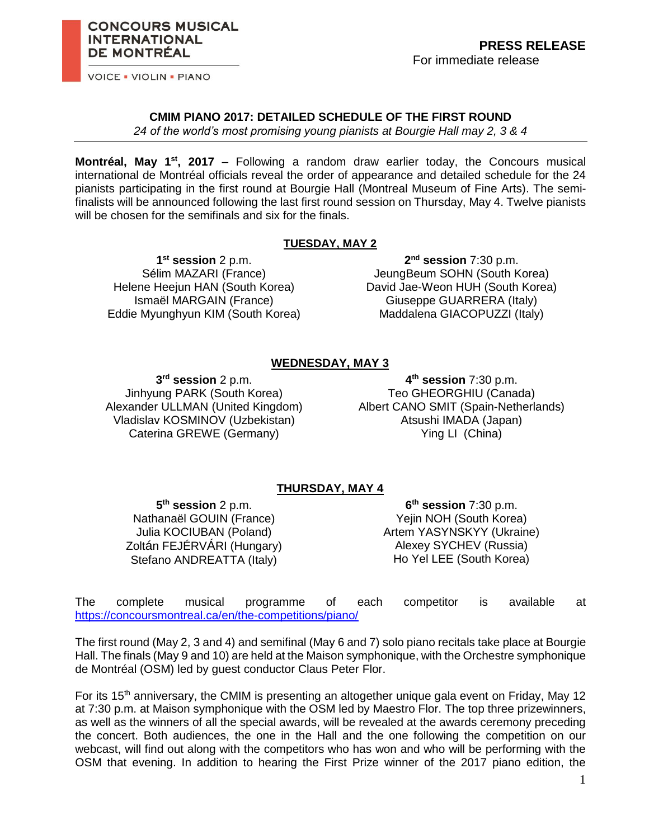**VOICE . VIOLIN . PIANO** 

**INTERNATIONAL DE MONTRÉAL** 

**CONCOURS MUSICAL** 

#### **CMIM PIANO 2017: DETAILED SCHEDULE OF THE FIRST ROUND**

*24 of the world's most promising young pianists at Bourgie Hall may 2, 3 & 4*

**Montréal, May 1st , 2017** – Following a random draw earlier today, the Concours musical international de Montréal officials reveal the order of appearance and detailed schedule for the 24 pianists participating in the first round at Bourgie Hall (Montreal Museum of Fine Arts). The semifinalists will be announced following the last first round session on Thursday, May 4. Twelve pianists will be chosen for the semifinals and six for the finals.

#### **TUESDAY, MAY 2**

**1 st session** 2 p.m. Sélim MAZARI (France) Helene Heejun HAN (South Korea) Ismaël MARGAIN (France) Eddie Myunghyun KIM (South Korea)

**2 nd session** 7:30 p.m. JeungBeum SOHN (South Korea) David Jae-Weon HUH (South Korea) Giuseppe GUARRERA (Italy) Maddalena GIACOPUZZI (Italy)

# **WEDNESDAY, MAY 3**

**3 rd session** 2 p.m. Jinhyung PARK (South Korea) Alexander ULLMAN (United Kingdom) Vladislav KOSMINOV (Uzbekistan) Caterina GREWE (Germany)

**4 th session** 7:30 p.m. Teo GHEORGHIU (Canada) Albert CANO SMIT (Spain-Netherlands) Atsushi IMADA (Japan) Ying LI (China)

# **THURSDAY, MAY 4**

**5 th session** 2 p.m. Nathanaël GOUIN (France) Julia KOCIUBAN (Poland) Zoltán FEJÉRVÁRI (Hungary) Stefano ANDREATTA (Italy)

**6 th session** 7:30 p.m. Yejin NOH (South Korea) Artem YASYNSKYY (Ukraine) Alexey SYCHEV (Russia) Ho Yel LEE (South Korea)

The complete musical programme of each competitor is available at <https://concoursmontreal.ca/en/the-competitions/piano/>

The first round (May 2, 3 and 4) and semifinal (May 6 and 7) solo piano recitals take place at Bourgie Hall. The finals (May 9 and 10) are held at the Maison symphonique, with the Orchestre symphonique de Montréal (OSM) led by guest conductor Claus Peter Flor.

For its 15<sup>th</sup> anniversary, the CMIM is presenting an altogether unique gala event on Friday, May 12 at 7:30 p.m. at Maison symphonique with the OSM led by Maestro Flor. The top three prizewinners, as well as the winners of all the special awards, will be revealed at the awards ceremony preceding the concert. Both audiences, the one in the Hall and the one following the competition on our webcast, will find out along with the competitors who has won and who will be performing with the OSM that evening. In addition to hearing the First Prize winner of the 2017 piano edition, the